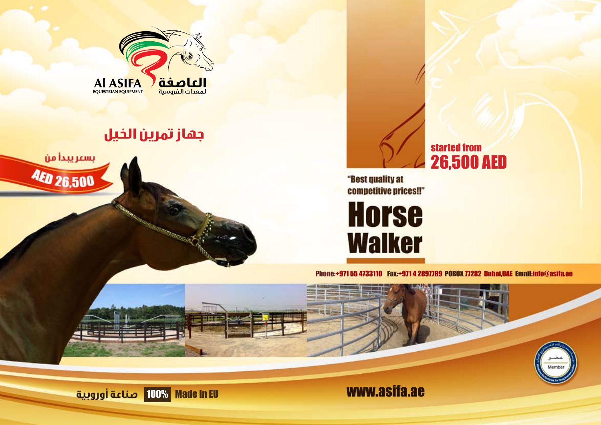

## **جهاز تمرين الخيل**





"Best quality at competitive prices!!"

**Horse Walker** 

Phone:+971 55 4733110 Fax:+971 4 2897789 POBOX 77282 Dubai,UAE Email:info@asifa.ae





田田田

www.asifa.ae